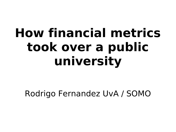# **How financial metrics took over a public university**

Rodrigo Fernandez UvA / SOMO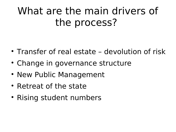### What are the main drivers of the process?

- Transfer of real estate devolution of risk
- Change in governance structure
- New Public Management
- Retreat of the state
- Rising student numbers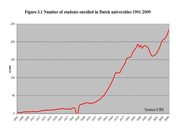#### Figure 3.1 Number of students enrolled in Dutch universities 1901-2009

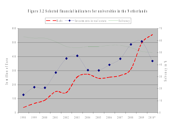#### Figure 3.2 Selected fin an cial indicators for universities in the Netherlands

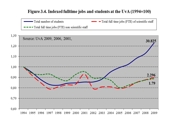#### Figure 3.4. Indexed fulltime jobs and students at the UvA (1994=100)

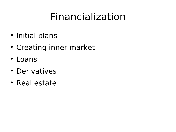### Financialization

- Initial plans
- Creating inner market
- Loans
- Derivatives
- Real estate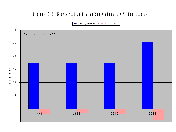### Figure 3.5: Notional and market values U v A derivatives

Underlying value swaps Infair value swaps